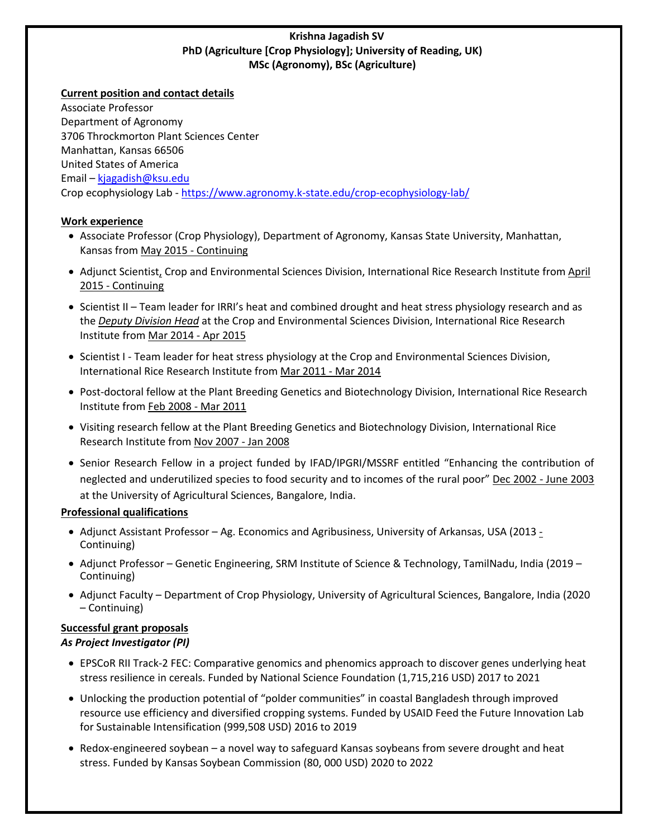## **Krishna Jagadish SV PhD (Agriculture [Crop Physiology]; University of Reading, UK) MSc (Agronomy), BSc (Agriculture)**

### **Current position and contact details**

Associate Professor Department of Agronomy 3706 Throckmorton Plant Sciences Center Manhattan, Kansas 66506 United States of America Email – kjagadish@ksu.edu Crop ecophysiology Lab - https://www.agronomy.k-state.edu/crop-ecophysiology-lab/

## **Work experience**

- Associate Professor (Crop Physiology), Department of Agronomy, Kansas State University, Manhattan, Kansas from May 2015 - Continuing
- Adjunct Scientist, Crop and Environmental Sciences Division, International Rice Research Institute from April 2015 - Continuing
- Scientist II Team leader for IRRI's heat and combined drought and heat stress physiology research and as the *Deputy Division Head* at the Crop and Environmental Sciences Division, International Rice Research Institute from Mar 2014 - Apr 2015
- Scientist I Team leader for heat stress physiology at the Crop and Environmental Sciences Division, International Rice Research Institute from Mar 2011 - Mar 2014
- Post-doctoral fellow at the Plant Breeding Genetics and Biotechnology Division, International Rice Research Institute from Feb 2008 - Mar 2011
- Visiting research fellow at the Plant Breeding Genetics and Biotechnology Division, International Rice Research Institute from Nov 2007 - Jan 2008
- Senior Research Fellow in a project funded by IFAD/IPGRI/MSSRF entitled "Enhancing the contribution of neglected and underutilized species to food security and to incomes of the rural poor" Dec 2002 - June 2003 at the University of Agricultural Sciences, Bangalore, India.

## **Professional qualifications**

- Adjunct Assistant Professor Ag. Economics and Agribusiness, University of Arkansas, USA (2013 Continuing)
- Adjunct Professor Genetic Engineering, SRM Institute of Science & Technology, TamilNadu, India (2019 Continuing)
- Adjunct Faculty Department of Crop Physiology, University of Agricultural Sciences, Bangalore, India (2020 – Continuing)

# **Successful grant proposals**

## *As Project Investigator (PI)*

- EPSCoR RII Track-2 FEC: Comparative genomics and phenomics approach to discover genes underlying heat stress resilience in cereals. Funded by National Science Foundation (1,715,216 USD) 2017 to 2021
- Unlocking the production potential of "polder communities" in coastal Bangladesh through improved resource use efficiency and diversified cropping systems. Funded by USAID Feed the Future Innovation Lab for Sustainable Intensification (999,508 USD) 2016 to 2019
- Redox-engineered soybean a novel way to safeguard Kansas soybeans from severe drought and heat stress. Funded by Kansas Soybean Commission (80, 000 USD) 2020 to 2022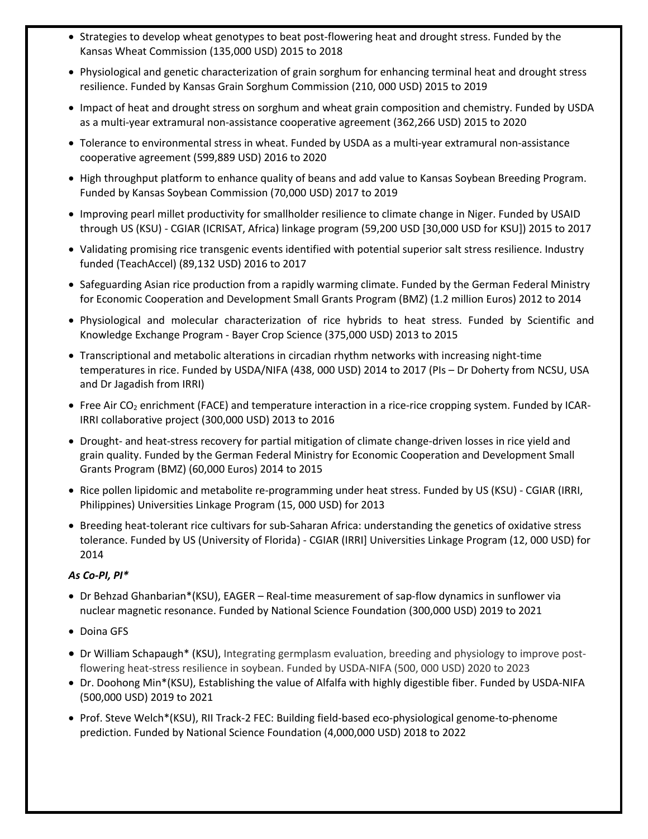- Strategies to develop wheat genotypes to beat post-flowering heat and drought stress. Funded by the Kansas Wheat Commission (135,000 USD) 2015 to 2018
- Physiological and genetic characterization of grain sorghum for enhancing terminal heat and drought stress resilience. Funded by Kansas Grain Sorghum Commission (210, 000 USD) 2015 to 2019
- Impact of heat and drought stress on sorghum and wheat grain composition and chemistry. Funded by USDA as a multi-year extramural non-assistance cooperative agreement (362,266 USD) 2015 to 2020
- Tolerance to environmental stress in wheat. Funded by USDA as a multi-year extramural non-assistance cooperative agreement (599,889 USD) 2016 to 2020
- High throughput platform to enhance quality of beans and add value to Kansas Soybean Breeding Program. Funded by Kansas Soybean Commission (70,000 USD) 2017 to 2019
- Improving pearl millet productivity for smallholder resilience to climate change in Niger. Funded by USAID through US (KSU) - CGIAR (ICRISAT, Africa) linkage program (59,200 USD [30,000 USD for KSU]) 2015 to 2017
- Validating promising rice transgenic events identified with potential superior salt stress resilience. Industry funded (TeachAccel) (89,132 USD) 2016 to 2017
- Safeguarding Asian rice production from a rapidly warming climate. Funded by the German Federal Ministry for Economic Cooperation and Development Small Grants Program (BMZ) (1.2 million Euros) 2012 to 2014
- Physiological and molecular characterization of rice hybrids to heat stress. Funded by Scientific and Knowledge Exchange Program - Bayer Crop Science (375,000 USD) 2013 to 2015
- Transcriptional and metabolic alterations in circadian rhythm networks with increasing night-time temperatures in rice. Funded by USDA/NIFA (438, 000 USD) 2014 to 2017 (PIs – Dr Doherty from NCSU, USA and Dr Jagadish from IRRI)
- Free Air CO<sub>2</sub> enrichment (FACE) and temperature interaction in a rice-rice cropping system. Funded by ICAR-IRRI collaborative project (300,000 USD) 2013 to 2016
- Drought- and heat-stress recovery for partial mitigation of climate change-driven losses in rice yield and grain quality. Funded by the German Federal Ministry for Economic Cooperation and Development Small Grants Program (BMZ) (60,000 Euros) 2014 to 2015
- Rice pollen lipidomic and metabolite re-programming under heat stress. Funded by US (KSU) CGIAR (IRRI, Philippines) Universities Linkage Program (15, 000 USD) for 2013
- Breeding heat-tolerant rice cultivars for sub-Saharan Africa: understanding the genetics of oxidative stress tolerance. Funded by US (University of Florida) - CGIAR (IRRI] Universities Linkage Program (12, 000 USD) for 2014

## *As Co-PI, PI\**

- Dr Behzad Ghanbarian\*(KSU), EAGER Real-time measurement of sap-flow dynamics in sunflower via nuclear magnetic resonance. Funded by National Science Foundation (300,000 USD) 2019 to 2021
- Doina GFS
- Dr William Schapaugh\* (KSU), Integrating germplasm evaluation, breeding and physiology to improve postflowering heat-stress resilience in soybean. Funded by USDA-NIFA (500, 000 USD) 2020 to 2023
- Dr. Doohong Min\*(KSU), Establishing the value of Alfalfa with highly digestible fiber. Funded by USDA-NIFA (500,000 USD) 2019 to 2021
- Prof. Steve Welch\*(KSU), RII Track-2 FEC: Building field-based eco-physiological genome-to-phenome prediction. Funded by National Science Foundation (4,000,000 USD) 2018 to 2022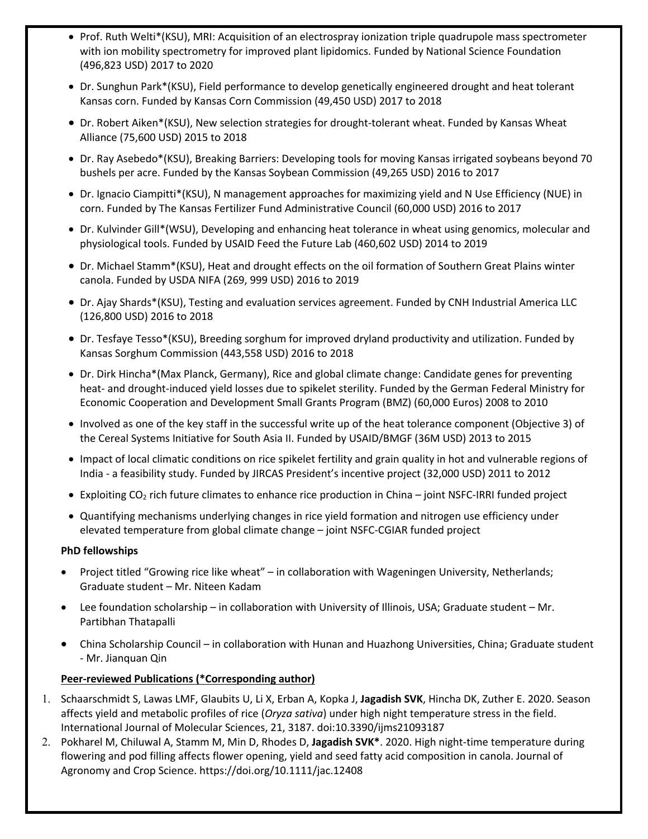- Prof. Ruth Welti\*(KSU), MRI: Acquisition of an electrospray ionization triple quadrupole mass spectrometer with ion mobility spectrometry for improved plant lipidomics. Funded by National Science Foundation (496,823 USD) 2017 to 2020
- Dr. Sunghun Park\*(KSU), Field performance to develop genetically engineered drought and heat tolerant Kansas corn. Funded by Kansas Corn Commission (49,450 USD) 2017 to 2018
- Dr. Robert Aiken\*(KSU), New selection strategies for drought-tolerant wheat. Funded by Kansas Wheat Alliance (75,600 USD) 2015 to 2018
- Dr. Ray Asebedo\*(KSU), Breaking Barriers: Developing tools for moving Kansas irrigated soybeans beyond 70 bushels per acre. Funded by the Kansas Soybean Commission (49,265 USD) 2016 to 2017
- Dr. Ignacio Ciampitti\*(KSU), N management approaches for maximizing yield and N Use Efficiency (NUE) in corn. Funded by The Kansas Fertilizer Fund Administrative Council (60,000 USD) 2016 to 2017
- Dr. Kulvinder Gill\*(WSU), Developing and enhancing heat tolerance in wheat using genomics, molecular and physiological tools. Funded by USAID Feed the Future Lab (460,602 USD) 2014 to 2019
- Dr. Michael Stamm\*(KSU), Heat and drought effects on the oil formation of Southern Great Plains winter canola. Funded by USDA NIFA (269, 999 USD) 2016 to 2019
- Dr. Ajay Shards\*(KSU), Testing and evaluation services agreement. Funded by CNH Industrial America LLC (126,800 USD) 2016 to 2018
- Dr. Tesfaye Tesso\*(KSU), Breeding sorghum for improved dryland productivity and utilization. Funded by Kansas Sorghum Commission (443,558 USD) 2016 to 2018
- Dr. Dirk Hincha\*(Max Planck, Germany), Rice and global climate change: Candidate genes for preventing heat- and drought-induced yield losses due to spikelet sterility. Funded by the German Federal Ministry for Economic Cooperation and Development Small Grants Program (BMZ) (60,000 Euros) 2008 to 2010
- Involved as one of the key staff in the successful write up of the heat tolerance component (Objective 3) of the Cereal Systems Initiative for South Asia II. Funded by USAID/BMGF (36M USD) 2013 to 2015
- Impact of local climatic conditions on rice spikelet fertility and grain quality in hot and vulnerable regions of India - a feasibility study. Funded by JIRCAS President's incentive project (32,000 USD) 2011 to 2012
- Exploiting CO<sub>2</sub> rich future climates to enhance rice production in China joint NSFC-IRRI funded project
- Quantifying mechanisms underlying changes in rice yield formation and nitrogen use efficiency under elevated temperature from global climate change – joint NSFC-CGIAR funded project

### **PhD fellowships**

- Project titled "Growing rice like wheat" in collaboration with Wageningen University, Netherlands; Graduate student – Mr. Niteen Kadam
- Lee foundation scholarship in collaboration with University of Illinois, USA; Graduate student Mr. Partibhan Thatapalli
- China Scholarship Council in collaboration with Hunan and Huazhong Universities, China; Graduate student - Mr. Jianquan Qin

### **Peer-reviewed Publications (\*Corresponding author)**

- 1. Schaarschmidt S, Lawas LMF, Glaubits U, Li X, Erban A, Kopka J, **Jagadish SVK**, Hincha DK, Zuther E. 2020. Season affects yield and metabolic profiles of rice (*Oryza sativa*) under high night temperature stress in the field. International Journal of Molecular Sciences, 21, 3187. doi:10.3390/ijms21093187
- 2. Pokharel M, Chiluwal A, Stamm M, Min D, Rhodes D, **Jagadish SVK\***. 2020. High night-time temperature during flowering and pod filling affects flower opening, yield and seed fatty acid composition in canola. Journal of Agronomy and Crop Science. https://doi.org/10.1111/jac.12408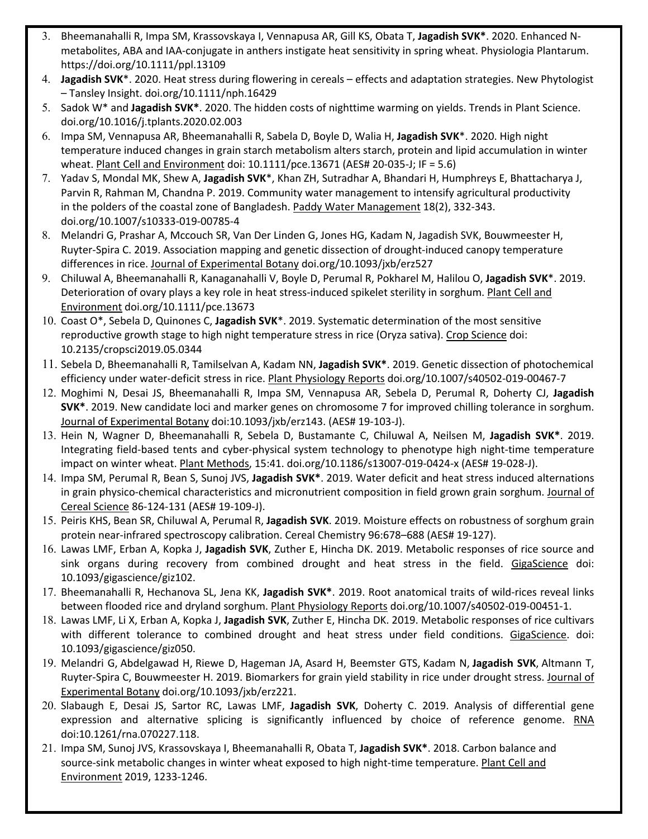- 3. Bheemanahalli R, Impa SM, Krassovskaya I, Vennapusa AR, Gill KS, Obata T, **Jagadish SVK\***. 2020. Enhanced Nmetabolites, ABA and IAA-conjugate in anthers instigate heat sensitivity in spring wheat. Physiologia Plantarum. https://doi.org/10.1111/ppl.13109
- 4. **Jagadish SVK**\*. 2020. Heat stress during flowering in cereals effects and adaptation strategies. New Phytologist – Tansley Insight. doi.org/10.1111/nph.16429
- 5. Sadok W\* and **Jagadish SVK\***. 2020. The hidden costs of nighttime warming on yields. Trends in Plant Science. doi.org/10.1016/j.tplants.2020.02.003
- 6. Impa SM, Vennapusa AR, Bheemanahalli R, Sabela D, Boyle D, Walia H, **Jagadish SVK**\*. 2020. High night temperature induced changes in grain starch metabolism alters starch, protein and lipid accumulation in winter wheat. Plant Cell and Environment doi: 10.1111/pce.13671 (AES# 20-035-J; IF = 5.6)
- 7. Yadav S, Mondal MK, Shew A, **Jagadish SVK**\*, Khan ZH, Sutradhar A, Bhandari H, Humphreys E, Bhattacharya J, Parvin R, Rahman M, Chandna P. 2019. Community water management to intensify agricultural productivity in the polders of the coastal zone of Bangladesh. Paddy Water Management 18(2), 332-343. doi.org/10.1007/s10333-019-00785-4
- 8. Melandri G, Prashar A, Mccouch SR, Van Der Linden G, Jones HG, Kadam N, Jagadish SVK, Bouwmeester H, Ruyter-Spira C. 2019. Association mapping and genetic dissection of drought-induced canopy temperature differences in rice. Journal of Experimental Botany doi.org/10.1093/jxb/erz527
- 9. Chiluwal A, Bheemanahalli R, Kanaganahalli V, Boyle D, Perumal R, Pokharel M, Halilou O, **Jagadish SVK**\*. 2019. Deterioration of ovary plays a key role in heat stress-induced spikelet sterility in sorghum. Plant Cell and Environment doi.org/10.1111/pce.13673
- 10. Coast O\*, Sebela D, Quinones C, **Jagadish SVK**\*. 2019. Systematic determination of the most sensitive reproductive growth stage to high night temperature stress in rice (Oryza sativa). Crop Science doi: 10.2135/cropsci2019.05.0344
- 11. Sebela D, Bheemanahalli R, Tamilselvan A, Kadam NN, **Jagadish SVK\***. 2019. Genetic dissection of photochemical efficiency under water-deficit stress in rice. Plant Physiology Reports doi.org/10.1007/s40502-019-00467-7
- 12. Moghimi N, Desai JS, Bheemanahalli R, Impa SM, Vennapusa AR, Sebela D, Perumal R, Doherty CJ, **Jagadish SVK\***. 2019. New candidate loci and marker genes on chromosome 7 for improved chilling tolerance in sorghum. Journal of Experimental Botany doi:10.1093/jxb/erz143. (AES# 19-103-J).
- 13. Hein N, Wagner D, Bheemanahalli R, Sebela D, Bustamante C, Chiluwal A, Neilsen M, **Jagadish SVK\***. 2019. Integrating field-based tents and cyber-physical system technology to phenotype high night-time temperature impact on winter wheat. Plant Methods, 15:41. doi.org/10.1186/s13007-019-0424-x (AES# 19-028-J).
- 14. Impa SM, Perumal R, Bean S, Sunoj JVS, **Jagadish SVK\***. 2019. Water deficit and heat stress induced alternations in grain physico-chemical characteristics and micronutrient composition in field grown grain sorghum. Journal of Cereal Science 86-124-131 (AES# 19-109-J).
- 15. Peiris KHS, Bean SR, Chiluwal A, Perumal R, **Jagadish SVK**. 2019. Moisture effects on robustness of sorghum grain protein near-infrared spectroscopy calibration. Cereal Chemistry 96:678–688 (AES# 19-127).
- 16. Lawas LMF, Erban A, Kopka J, **Jagadish SVK**, Zuther E, Hincha DK. 2019. Metabolic responses of rice source and sink organs during recovery from combined drought and heat stress in the field. GigaScience doi: 10.1093/gigascience/giz102.
- 17. Bheemanahalli R, Hechanova SL, Jena KK, **Jagadish SVK\***. 2019. Root anatomical traits of wild-rices reveal links between flooded rice and dryland sorghum. Plant Physiology Reports doi.org/10.1007/s40502-019-00451-1.
- 18. Lawas LMF, Li X, Erban A, Kopka J, **Jagadish SVK**, Zuther E, Hincha DK. 2019. Metabolic responses of rice cultivars with different tolerance to combined drought and heat stress under field conditions. GigaScience. doi: 10.1093/gigascience/giz050.
- 19. Melandri G, Abdelgawad H, Riewe D, Hageman JA, Asard H, Beemster GTS, Kadam N, **Jagadish SVK**, Altmann T, Ruyter-Spira C, Bouwmeester H. 2019. Biomarkers for grain yield stability in rice under drought stress. Journal of Experimental Botany doi.org/10.1093/jxb/erz221.
- 20. Slabaugh E, Desai JS, Sartor RC, Lawas LMF, **Jagadish SVK**, Doherty C. 2019. Analysis of differential gene expression and alternative splicing is significantly influenced by choice of reference genome. RNA doi:10.1261/rna.070227.118.
- 21. Impa SM, Sunoj JVS, Krassovskaya I, Bheemanahalli R, Obata T, **Jagadish SVK\***. 2018. Carbon balance and source-sink metabolic changes in winter wheat exposed to high night-time temperature. Plant Cell and Environment 2019, 1233-1246.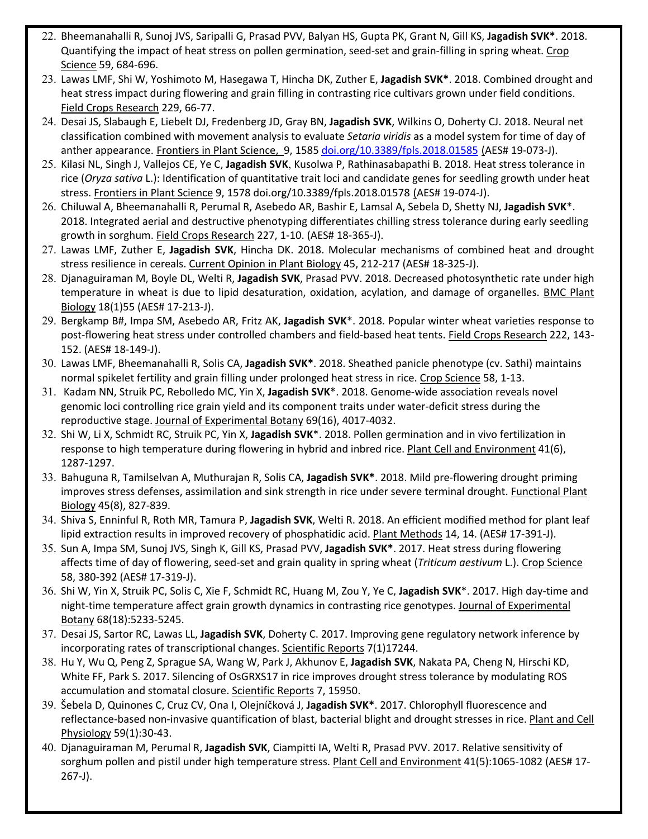- 22. Bheemanahalli R, Sunoj JVS, Saripalli G, Prasad PVV, Balyan HS, Gupta PK, Grant N, Gill KS, **Jagadish SVK\***. 2018. Quantifying the impact of heat stress on pollen germination, seed-set and grain-filling in spring wheat. Crop Science 59, 684-696.
- 23. Lawas LMF, Shi W, Yoshimoto M, Hasegawa T, Hincha DK, Zuther E, **Jagadish SVK\***. 2018. Combined drought and heat stress impact during flowering and grain filling in contrasting rice cultivars grown under field conditions. Field Crops Research 229, 66-77.
- 24. Desai JS, Slabaugh E, Liebelt DJ, Fredenberg JD, Gray BN, **Jagadish SVK**, Wilkins O, Doherty CJ. 2018. Neural net classification combined with movement analysis to evaluate *Setaria viridis* as a model system for time of day of anther appearance. Frontiers in Plant Science, 9, 1585 doi.org/10.3389/fpls.2018.01585 (AES# 19-073-J).
- 25. Kilasi NL, Singh J, Vallejos CE, Ye C, **Jagadish SVK**, Kusolwa P, Rathinasabapathi B. 2018. Heat stress tolerance in rice (*Oryza sativa* L.): Identification of quantitative trait loci and candidate genes for seedling growth under heat stress. Frontiers in Plant Science 9, 1578 doi.org/10.3389/fpls.2018.01578 (AES# 19-074-J).
- 26. Chiluwal A, Bheemanahalli R, Perumal R, Asebedo AR, Bashir E, Lamsal A, Sebela D, Shetty NJ, **Jagadish SVK**\*. 2018. Integrated aerial and destructive phenotyping differentiates chilling stress tolerance during early seedling growth in sorghum. Field Crops Research 227, 1-10. (AES# 18-365-J).
- 27. Lawas LMF, Zuther E, **Jagadish SVK**, Hincha DK. 2018. Molecular mechanisms of combined heat and drought stress resilience in cereals. Current Opinion in Plant Biology 45, 212-217 (AES# 18-325-J).
- 28. Djanaguiraman M, Boyle DL, Welti R, **Jagadish SVK**, Prasad PVV. 2018. Decreased photosynthetic rate under high temperature in wheat is due to lipid desaturation, oxidation, acylation, and damage of organelles. BMC Plant Biology 18(1)55 (AES# 17-213-J).
- 29. Bergkamp B#, Impa SM, Asebedo AR, Fritz AK, **Jagadish SVK**\*. 2018. Popular winter wheat varieties response to post-flowering heat stress under controlled chambers and field-based heat tents. **Field Crops Research** 222, 143-152. (AES# 18-149-J).
- 30. Lawas LMF, Bheemanahalli R, Solis CA, **Jagadish SVK\***. 2018. Sheathed panicle phenotype (cv. Sathi) maintains normal spikelet fertility and grain filling under prolonged heat stress in rice. Crop Science 58, 1-13.
- 31. Kadam NN, Struik PC, Rebolledo MC, Yin X, **Jagadish SVK**\*. 2018. Genome-wide association reveals novel genomic loci controlling rice grain yield and its component traits under water-deficit stress during the reproductive stage. Journal of Experimental Botany 69(16), 4017-4032.
- 32. Shi W, Li X, Schmidt RC, Struik PC, Yin X, **Jagadish SVK**\*. 2018. Pollen germination and in vivo fertilization in response to high temperature during flowering in hybrid and inbred rice. Plant Cell and Environment 41(6), 1287-1297.
- 33. Bahuguna R, Tamilselvan A, Muthurajan R, Solis CA, **Jagadish SVK\***. 2018. Mild pre-flowering drought priming improves stress defenses, assimilation and sink strength in rice under severe terminal drought. Functional Plant Biology 45(8), 827-839.
- 34. Shiva S, Enninful R, Roth MR, Tamura P, **Jagadish SVK**, Welti R. 2018. An efficient modified method for plant leaf lipid extraction results in improved recovery of phosphatidic acid. Plant Methods 14, 14. (AES# 17-391-J).
- 35. Sun A, Impa SM, Sunoj JVS, Singh K, Gill KS, Prasad PVV, **Jagadish SVK\***. 2017. Heat stress during flowering affects time of day of flowering, seed-set and grain quality in spring wheat (*Triticum aestivum* L.). Crop Science 58, 380-392 (AES# 17-319-J).
- 36. Shi W, Yin X, Struik PC, Solis C, Xie F, Schmidt RC, Huang M, Zou Y, Ye C, **Jagadish SVK**\*. 2017. High day-time and night-time temperature affect grain growth dynamics in contrasting rice genotypes. Journal of Experimental Botany 68(18):5233-5245.
- 37. Desai JS, Sartor RC, Lawas LL, **Jagadish SVK**, Doherty C. 2017. Improving gene regulatory network inference by incorporating rates of transcriptional changes. Scientific Reports 7(1)17244.
- 38. Hu Y, Wu Q, Peng Z, Sprague SA, Wang W, Park J, Akhunov E, **Jagadish SVK**, Nakata PA, Cheng N, Hirschi KD, White FF, Park S. 2017. Silencing of OsGRXS17 in rice improves drought stress tolerance by modulating ROS accumulation and stomatal closure. Scientific Reports 7, 15950.
- 39. Šebela D, Quinones C, Cruz CV, Ona I, Olejníčková J, **Jagadish SVK\***. 2017. Chlorophyll fluorescence and reflectance-based non-invasive quantification of blast, bacterial blight and drought stresses in rice. Plant and Cell Physiology 59(1):30-43.
- 40. Djanaguiraman M, Perumal R, **Jagadish SVK**, Ciampitti IA, Welti R, Prasad PVV. 2017. Relative sensitivity of sorghum pollen and pistil under high temperature stress. Plant Cell and Environment 41(5):1065-1082 (AES# 17-267-J).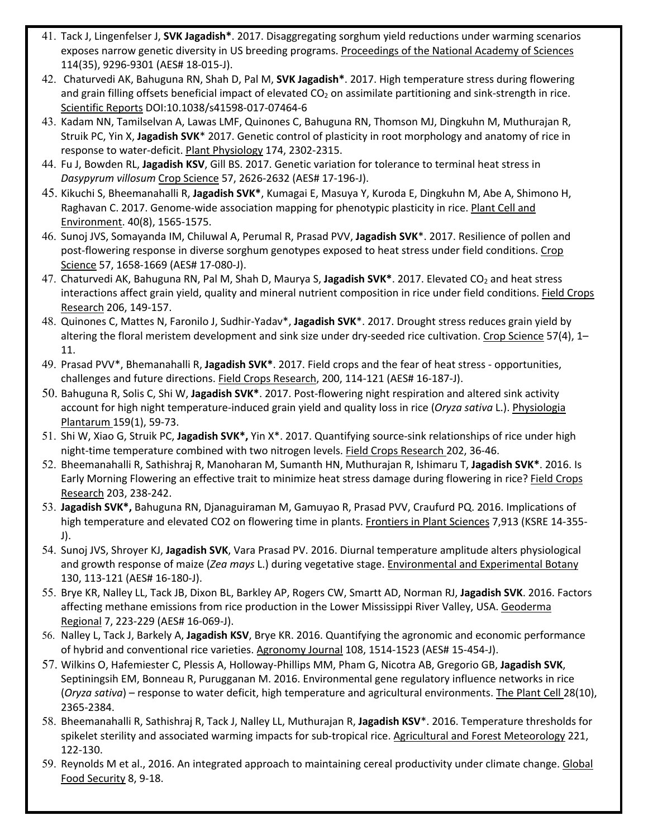- 41. Tack J, Lingenfelser J, **SVK Jagadish\***. 2017. Disaggregating sorghum yield reductions under warming scenarios exposes narrow genetic diversity in US breeding programs. Proceedings of the National Academy of Sciences 114(35), 9296-9301 (AES# 18-015-J).
- 42. Chaturvedi AK, Bahuguna RN, Shah D, Pal M, **SVK Jagadish\***. 2017. High temperature stress during flowering and grain filling offsets beneficial impact of elevated  $CO<sub>2</sub>$  on assimilate partitioning and sink-strength in rice. Scientific Reports DOI:10.1038/s41598-017-07464-6
- 43. Kadam NN, Tamilselvan A, Lawas LMF, Quinones C, Bahuguna RN, Thomson MJ, Dingkuhn M, Muthurajan R, Struik PC, Yin X, **Jagadish SVK**\* 2017. Genetic control of plasticity in root morphology and anatomy of rice in response to water-deficit. Plant Physiology 174, 2302-2315.
- 44. Fu J, Bowden RL, **Jagadish KSV**, Gill BS. 2017. Genetic variation for tolerance to terminal heat stress in *Dasypyrum villosum* Crop Science 57, 2626-2632 (AES# 17-196-J).
- 45. Kikuchi S, Bheemanahalli R, **Jagadish SVK\***, Kumagai E, Masuya Y, Kuroda E, Dingkuhn M, Abe A, Shimono H, Raghavan C. 2017. Genome-wide association mapping for phenotypic plasticity in rice. Plant Cell and Environment. 40(8), 1565-1575.
- 46. Sunoj JVS, Somayanda IM, Chiluwal A, Perumal R, Prasad PVV, **Jagadish SVK**\*. 2017. Resilience of pollen and post-flowering response in diverse sorghum genotypes exposed to heat stress under field conditions. Crop Science 57, 1658-1669 (AES# 17-080-J).
- 47. Chaturvedi AK, Bahuguna RN, Pal M, Shah D, Maurya S, Jagadish SVK<sup>\*</sup>. 2017. Elevated CO<sub>2</sub> and heat stress interactions affect grain yield, quality and mineral nutrient composition in rice under field conditions. Field Crops Research 206, 149-157.
- 48. Quinones C, Mattes N, Faronilo J, Sudhir-Yadav\*, **Jagadish SVK**\*. 2017. Drought stress reduces grain yield by altering the floral meristem development and sink size under dry-seeded rice cultivation. Crop Science 57(4), 1– 11.
- 49. Prasad PVV\*, Bhemanahalli R, **Jagadish SVK\***. 2017. Field crops and the fear of heat stress opportunities, challenges and future directions. Field Crops Research, 200, 114-121 (AES# 16-187-J).
- 50. Bahuguna R, Solis C, Shi W, **Jagadish SVK\***. 2017. Post-flowering night respiration and altered sink activity account for high night temperature-induced grain yield and quality loss in rice (*Oryza sativa* L.). Physiologia Plantarum 159(1), 59-73.
- 51. Shi W, Xiao G, Struik PC, **Jagadish SVK\*,** Yin X\*. 2017. Quantifying source-sink relationships of rice under high night-time temperature combined with two nitrogen levels. Field Crops Research 202, 36-46.
- 52. Bheemanahalli R, Sathishraj R, Manoharan M, Sumanth HN, Muthurajan R, Ishimaru T, **Jagadish SVK\***. 2016. Is Early Morning Flowering an effective trait to minimize heat stress damage during flowering in rice? Field Crops Research 203, 238-242.
- 53. **Jagadish SVK\*,** Bahuguna RN, Djanaguiraman M, Gamuyao R, Prasad PVV, Craufurd PQ. 2016. Implications of high temperature and elevated CO2 on flowering time in plants. Frontiers in Plant Sciences 7,913 (KSRE 14-355-J).
- 54. Sunoj JVS, Shroyer KJ, **Jagadish SVK**, Vara Prasad PV. 2016. Diurnal temperature amplitude alters physiological and growth response of maize (*Zea mays* L.) during vegetative stage. Environmental and Experimental Botany 130, 113-121 (AES# 16-180-J).
- 55. Brye KR, Nalley LL, Tack JB, Dixon BL, Barkley AP, Rogers CW, Smartt AD, Norman RJ, **Jagadish SVK**. 2016. Factors affecting methane emissions from rice production in the Lower Mississippi River Valley, USA. Geoderma Regional 7, 223-229 (AES# 16-069-J).
- 56. Nalley L, Tack J, Barkely A, **Jagadish KSV**, Brye KR. 2016. Quantifying the agronomic and economic performance of hybrid and conventional rice varieties. Agronomy Journal 108, 1514-1523 (AES# 15-454-J).
- 57. Wilkins O, Hafemiester C, Plessis A, Holloway-Phillips MM, Pham G, Nicotra AB, Gregorio GB, **Jagadish SVK**, Septiningsih EM, Bonneau R, Purugganan M. 2016. Environmental gene regulatory influence networks in rice (*Oryza sativa*) – response to water deficit, high temperature and agricultural environments. The Plant Cell 28(10), 2365-2384.
- 58. Bheemanahalli R, Sathishraj R, Tack J, Nalley LL, Muthurajan R, **Jagadish KSV**\*. 2016. Temperature thresholds for spikelet sterility and associated warming impacts for sub-tropical rice. Agricultural and Forest Meteorology 221, 122-130.
- 59. Reynolds M et al., 2016. An integrated approach to maintaining cereal productivity under climate change. Global Food Security 8, 9-18.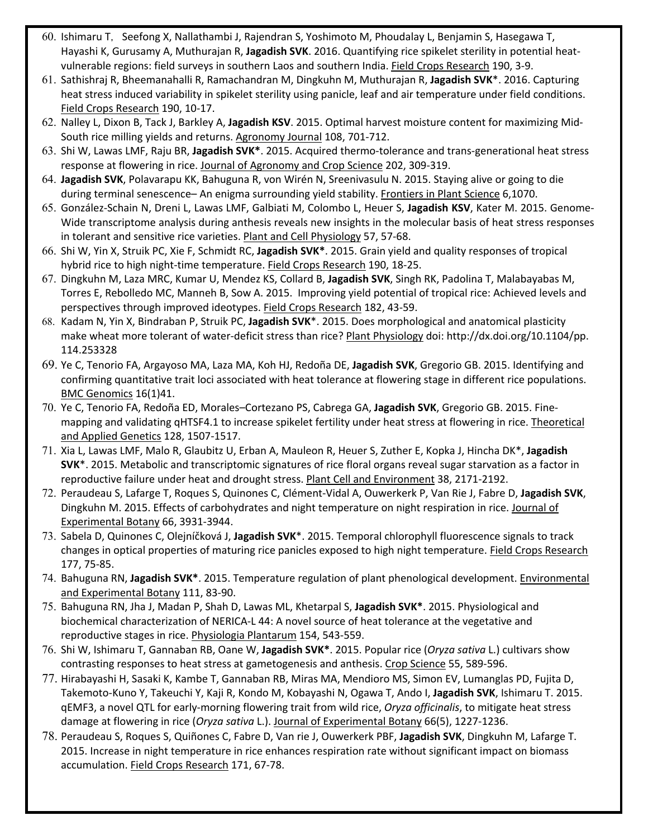- 60. Ishimaru T, Seefong X, Nallathambi J, Rajendran S, Yoshimoto M, Phoudalay L, Benjamin S, Hasegawa T, Hayashi K, Gurusamy A, Muthurajan R, **Jagadish SVK**. 2016. Quantifying rice spikelet sterility in potential heatvulnerable regions: field surveys in southern Laos and southern India. Field Crops Research 190, 3-9.
- 61. Sathishraj R, Bheemanahalli R, Ramachandran M, Dingkuhn M, Muthurajan R, **Jagadish SVK**\*. 2016. Capturing heat stress induced variability in spikelet sterility using panicle, leaf and air temperature under field conditions. Field Crops Research 190, 10-17.
- 62. Nalley L, Dixon B, Tack J, Barkley A, **Jagadish KSV**. 2015. Optimal harvest moisture content for maximizing Mid-South rice milling yields and returns. Agronomy Journal 108, 701-712.
- 63. Shi W, Lawas LMF, Raju BR, **Jagadish SVK\***. 2015. Acquired thermo-tolerance and trans-generational heat stress response at flowering in rice. Journal of Agronomy and Crop Science 202, 309-319.
- 64. **Jagadish SVK**, Polavarapu KK, Bahuguna R, von Wirén N, Sreenivasulu N. 2015. Staying alive or going to die during terminal senescence– An enigma surrounding yield stability. Frontiers in Plant Science 6,1070.
- 65. González-Schain N, Dreni L, Lawas LMF, Galbiati M, Colombo L, Heuer S, **Jagadish KSV**, Kater M. 2015. Genome-Wide transcriptome analysis during anthesis reveals new insights in the molecular basis of heat stress responses in tolerant and sensitive rice varieties. Plant and Cell Physiology 57, 57-68.
- 66. Shi W, Yin X, Struik PC, Xie F, Schmidt RC, **Jagadish SVK\***. 2015. Grain yield and quality responses of tropical hybrid rice to high night-time temperature. Field Crops Research 190, 18-25.
- 67. Dingkuhn M, Laza MRC, Kumar U, Mendez KS, Collard B, **Jagadish SVK**, Singh RK, Padolina T, Malabayabas M, Torres E, Rebolledo MC, Manneh B, Sow A. 2015. Improving yield potential of tropical rice: Achieved levels and perspectives through improved ideotypes. Field Crops Research 182, 43-59.
- 68. Kadam N, Yin X, Bindraban P, Struik PC, **Jagadish SVK**\*. 2015. Does morphological and anatomical plasticity make wheat more tolerant of water-deficit stress than rice? Plant Physiology doi: http://dx.doi.org/10.1104/pp. 114.253328
- 69. Ye C, Tenorio FA, Argayoso MA, Laza MA, Koh HJ, Redoña DE, **Jagadish SVK**, Gregorio GB. 2015. Identifying and confirming quantitative trait loci associated with heat tolerance at flowering stage in different rice populations. BMC Genomics 16(1)41.
- 70. Ye C, Tenorio FA, Redoña ED, Morales–Cortezano PS, Cabrega GA, **Jagadish SVK**, Gregorio GB. 2015. Finemapping and validating qHTSF4.1 to increase spikelet fertility under heat stress at flowering in rice. Theoretical and Applied Genetics 128, 1507-1517.
- 71. Xia L, Lawas LMF, Malo R, Glaubitz U, Erban A, Mauleon R, Heuer S, Zuther E, Kopka J, Hincha DK\*, **Jagadish SVK**\*. 2015. Metabolic and transcriptomic signatures of rice floral organs reveal sugar starvation as a factor in reproductive failure under heat and drought stress. Plant Cell and Environment 38, 2171-2192.
- 72. Peraudeau S, Lafarge T, Roques S, Quinones C, Clément-Vidal A, Ouwerkerk P, Van Rie J, Fabre D, **Jagadish SVK**, Dingkuhn M. 2015. Effects of carbohydrates and night temperature on night respiration in rice. Journal of Experimental Botany 66, 3931-3944.
- 73. Sabela D, Quinones C, Olejníčková J, **Jagadish SVK**\*. 2015. Temporal chlorophyll fluorescence signals to track changes in optical properties of maturing rice panicles exposed to high night temperature. Field Crops Research 177, 75-85.
- 74. Bahuguna RN, **Jagadish SVK\***. 2015. Temperature regulation of plant phenological development. Environmental and Experimental Botany 111, 83-90.
- 75. Bahuguna RN, Jha J, Madan P, Shah D, Lawas ML, Khetarpal S, **Jagadish SVK\***. 2015. Physiological and biochemical characterization of NERICA-L 44: A novel source of heat tolerance at the vegetative and reproductive stages in rice. Physiologia Plantarum 154, 543-559.
- 76. Shi W, Ishimaru T, Gannaban RB, Oane W, **Jagadish SVK\***. 2015. Popular rice (*Oryza sativa* L.) cultivars show contrasting responses to heat stress at gametogenesis and anthesis. Crop Science 55, 589-596.
- 77. Hirabayashi H, Sasaki K, Kambe T, Gannaban RB, Miras MA, Mendioro MS, Simon EV, Lumanglas PD, Fujita D, Takemoto-Kuno Y, Takeuchi Y, Kaji R, Kondo M, Kobayashi N, Ogawa T, Ando I, **Jagadish SVK**, Ishimaru T. 2015. qEMF3, a novel QTL for early-morning flowering trait from wild rice, *Oryza officinalis*, to mitigate heat stress damage at flowering in rice (*Oryza sativa* L.). Journal of Experimental Botany 66(5), 1227-1236.
- 78. Peraudeau S, Roques S, Quiñones C, Fabre D, Van rie J, Ouwerkerk PBF, **Jagadish SVK**, Dingkuhn M, Lafarge T. 2015. Increase in night temperature in rice enhances respiration rate without significant impact on biomass accumulation. Field Crops Research 171, 67-78.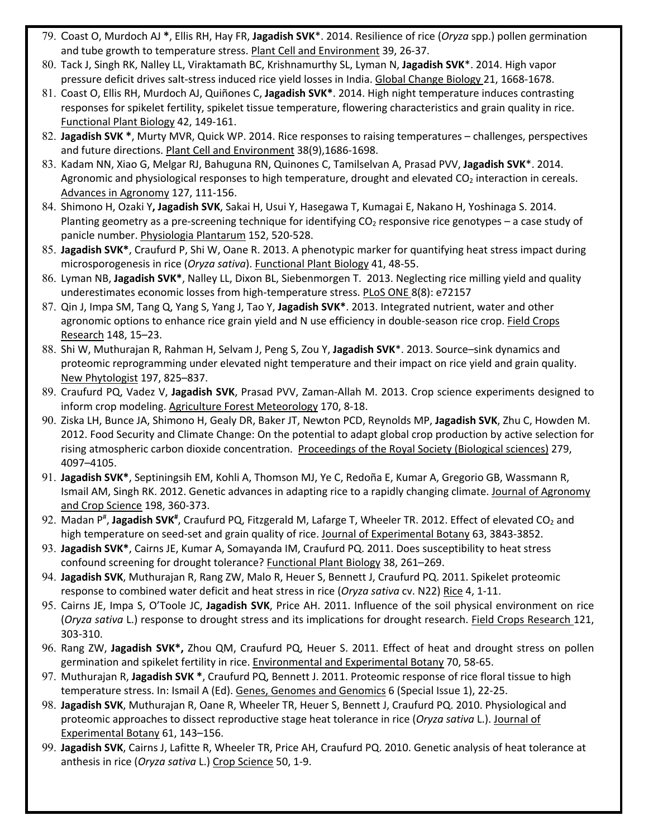- 79. Coast O, Murdoch AJ **\***, Ellis RH, Hay FR, **Jagadish SVK**\*. 2014. Resilience of rice (*Oryza* spp.) pollen germination and tube growth to temperature stress. Plant Cell and Environment 39, 26-37.
- 80. Tack J, Singh RK, Nalley LL, Viraktamath BC, Krishnamurthy SL, Lyman N, **Jagadish SVK**\*. 2014. High vapor pressure deficit drives salt-stress induced rice yield losses in India. Global Change Biology 21, 1668-1678.
- 81. Coast O, Ellis RH, Murdoch AJ, Quiñones C, **Jagadish SVK\***. 2014. High night temperature induces contrasting responses for spikelet fertility, spikelet tissue temperature, flowering characteristics and grain quality in rice. Functional Plant Biology 42, 149-161.
- 82. **Jagadish SVK \***, Murty MVR, Quick WP. 2014. Rice responses to raising temperatures challenges, perspectives and future directions. Plant Cell and Environment 38(9),1686-1698.
- 83. Kadam NN, Xiao G, Melgar RJ, Bahuguna RN, Quinones C, Tamilselvan A, Prasad PVV, **Jagadish SVK**\*. 2014. Agronomic and physiological responses to high temperature, drought and elevated CO<sub>2</sub> interaction in cereals. Advances in Agronomy 127, 111-156.
- 84. Shimono H, Ozaki Y**, Jagadish SVK**, Sakai H, Usui Y, Hasegawa T, Kumagai E, Nakano H, Yoshinaga S. 2014. Planting geometry as a pre-screening technique for identifying  $CO<sub>2</sub>$  responsive rice genotypes – a case study of panicle number. Physiologia Plantarum 152, 520-528.
- 85. **Jagadish SVK\***, Craufurd P, Shi W, Oane R. 2013. A phenotypic marker for quantifying heat stress impact during microsporogenesis in rice (*Oryza sativa*). Functional Plant Biology 41, 48-55.
- 86. Lyman NB, **Jagadish SVK\***, Nalley LL, Dixon BL, Siebenmorgen T. 2013. Neglecting rice milling yield and quality underestimates economic losses from high-temperature stress. PLoS ONE 8(8): e72157
- 87. Qin J, Impa SM, Tang Q, Yang S, Yang J, Tao Y, **Jagadish SVK\***. 2013. Integrated nutrient, water and other agronomic options to enhance rice grain yield and N use efficiency in double-season rice crop. Field Crops Research 148, 15–23.
- 88. Shi W, Muthurajan R, Rahman H, Selvam J, Peng S, Zou Y, **Jagadish SVK**\*. 2013. Source–sink dynamics and proteomic reprogramming under elevated night temperature and their impact on rice yield and grain quality. New Phytologist 197, 825–837.
- 89. Craufurd PQ, Vadez V, **Jagadish SVK**, Prasad PVV, Zaman-Allah M. 2013. Crop science experiments designed to inform crop modeling. Agriculture Forest Meteorology 170, 8-18.
- 90. Ziska LH, Bunce JA, Shimono H, Gealy DR, Baker JT, Newton PCD, Reynolds MP, **Jagadish SVK**, Zhu C, Howden M. 2012. Food Security and Climate Change: On the potential to adapt global crop production by active selection for rising atmospheric carbon dioxide concentration. Proceedings of the Royal Society (Biological sciences) 279, 4097–4105.
- 91. **Jagadish SVK\***, Septiningsih EM, Kohli A, Thomson MJ, Ye C, Redoña E, Kumar A, Gregorio GB, Wassmann R, Ismail AM, Singh RK. 2012. Genetic advances in adapting rice to a rapidly changing climate. Journal of Agronomy and Crop Science 198, 360-373.
- 92. Madan P<sup>#</sup>, Jagadish SVK<sup>#</sup>, Craufurd PQ, Fitzgerald M, Lafarge T, Wheeler TR. 2012. Effect of elevated CO<sub>2</sub> and high temperature on seed-set and grain quality of rice. Journal of Experimental Botany 63, 3843-3852.
- 93. **Jagadish SVK\***, Cairns JE, Kumar A, Somayanda IM, Craufurd PQ. 2011. Does susceptibility to heat stress confound screening for drought tolerance? Functional Plant Biology 38, 261–269.
- 94. **Jagadish SVK**, Muthurajan R, Rang ZW, Malo R, Heuer S, Bennett J, Craufurd PQ. 2011. Spikelet proteomic response to combined water deficit and heat stress in rice (*Oryza sativa* cv. N22) Rice 4, 1-11.
- 95. Cairns JE, Impa S, O'Toole JC, **Jagadish SVK**, Price AH. 2011. Influence of the soil physical environment on rice (*Oryza sativa* L.) response to drought stress and its implications for drought research. Field Crops Research 121, 303-310.
- 96. Rang ZW, **Jagadish SVK\*,** Zhou QM, Craufurd PQ, Heuer S. 2011. Effect of heat and drought stress on pollen germination and spikelet fertility in rice. Environmental and Experimental Botany 70, 58-65.
- 97. Muthurajan R, **Jagadish SVK \***, Craufurd PQ, Bennett J. 2011. Proteomic response of rice floral tissue to high temperature stress. In: Ismail A (Ed). Genes, Genomes and Genomics 6 (Special Issue 1), 22-25.
- 98. **Jagadish SVK**, Muthurajan R, Oane R, Wheeler TR, Heuer S, Bennett J, Craufurd PQ. 2010. Physiological and proteomic approaches to dissect reproductive stage heat tolerance in rice (*Oryza sativa* L.). Journal of Experimental Botany 61, 143–156.
- 99. **Jagadish SVK**, Cairns J, Lafitte R, Wheeler TR, Price AH, Craufurd PQ. 2010. Genetic analysis of heat tolerance at anthesis in rice (*Oryza sativa* L.) Crop Science 50, 1-9.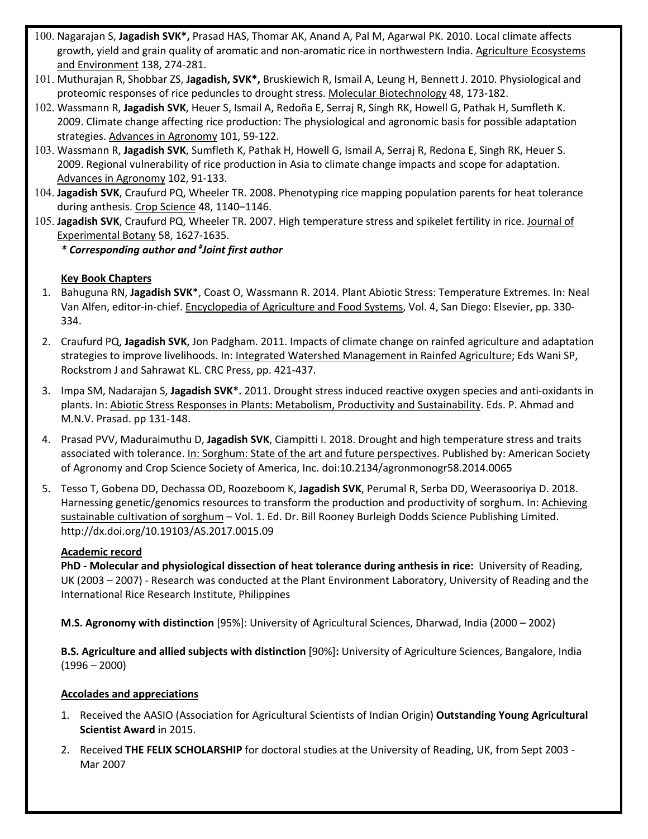- 100. Nagarajan S, **Jagadish SVK\*,** Prasad HAS, Thomar AK, Anand A, Pal M, Agarwal PK. 2010. Local climate affects growth, yield and grain quality of aromatic and non-aromatic rice in northwestern India. Agriculture Ecosystems and Environment 138, 274-281.
- 101. Muthurajan R, Shobbar ZS, **Jagadish, SVK\*,** Bruskiewich R, Ismail A, Leung H, Bennett J. 2010. Physiological and proteomic responses of rice peduncles to drought stress. Molecular Biotechnology 48, 173-182.
- 102. Wassmann R, **Jagadish SVK**, Heuer S, Ismail A, Redoña E, Serraj R, Singh RK, Howell G, Pathak H, Sumfleth K. 2009. Climate change affecting rice production: The physiological and agronomic basis for possible adaptation strategies. Advances in Agronomy 101, 59-122.
- 103. Wassmann R, **Jagadish SVK**, Sumfleth K, Pathak H, Howell G, Ismail A, Serraj R, Redona E, Singh RK, Heuer S. 2009. Regional vulnerability of rice production in Asia to climate change impacts and scope for adaptation. Advances in Agronomy 102, 91-133.
- 104. **Jagadish SVK**, Craufurd PQ, Wheeler TR. 2008. Phenotyping rice mapping population parents for heat tolerance during anthesis. Crop Science 48, 1140–1146.
- 105. **Jagadish SVK**, Craufurd PQ, Wheeler TR. 2007. High temperature stress and spikelet fertility in rice. Journal of Experimental Botany 58, 1627-1635.

*\* Corresponding author and # Joint first author*

# **Key Book Chapters**

- 1. Bahuguna RN, **Jagadish SVK**\*, Coast O, Wassmann R. 2014. Plant Abiotic Stress: Temperature Extremes. In: Neal Van Alfen, editor-in-chief. Encyclopedia of Agriculture and Food Systems, Vol. 4, San Diego: Elsevier, pp. 330- 334.
- 2. Craufurd PQ, **Jagadish SVK**, Jon Padgham. 2011. Impacts of climate change on rainfed agriculture and adaptation strategies to improve livelihoods. In: Integrated Watershed Management in Rainfed Agriculture; Eds Wani SP, Rockstrom J and Sahrawat KL. CRC Press, pp. 421-437.
- 3. Impa SM, Nadarajan S, **Jagadish SVK\*.** 2011. Drought stress induced reactive oxygen species and anti-oxidants in plants. In: Abiotic Stress Responses in Plants: Metabolism, Productivity and Sustainability. Eds. P. Ahmad and M.N.V. Prasad. pp 131-148.
- 4. Prasad PVV, Maduraimuthu D, **Jagadish SVK**, Ciampitti I. 2018. Drought and high temperature stress and traits associated with tolerance. In: Sorghum: State of the art and future perspectives. Published by: American Society of Agronomy and Crop Science Society of America, Inc. doi:10.2134/agronmonogr58.2014.0065
- 5. Tesso T, Gobena DD, Dechassa OD, Roozeboom K, **Jagadish SVK**, Perumal R, Serba DD, Weerasooriya D. 2018. Harnessing genetic/genomics resources to transform the production and productivity of sorghum. In: Achieving sustainable cultivation of sorghum – Vol. 1. Ed. Dr. Bill Rooney Burleigh Dodds Science Publishing Limited. http://dx.doi.org/10.19103/AS.2017.0015.09

# **Academic record**

**PhD - Molecular and physiological dissection of heat tolerance during anthesis in rice:** University of Reading, UK (2003 – 2007) - Research was conducted at the Plant Environment Laboratory, University of Reading and the International Rice Research Institute, Philippines

**M.S. Agronomy with distinction** [95%]: University of Agricultural Sciences, Dharwad, India (2000 – 2002)

**B.S. Agriculture and allied subjects with distinction** [90%]**:** University of Agriculture Sciences, Bangalore, India  $(1996 - 2000)$ 

# **Accolades and appreciations**

- 1. Received the AASIO (Association for Agricultural Scientists of Indian Origin) **Outstanding Young Agricultural Scientist Award** in 2015.
- 2. Received **THE FELIX SCHOLARSHIP** for doctoral studies at the University of Reading, UK, from Sept 2003 Mar 2007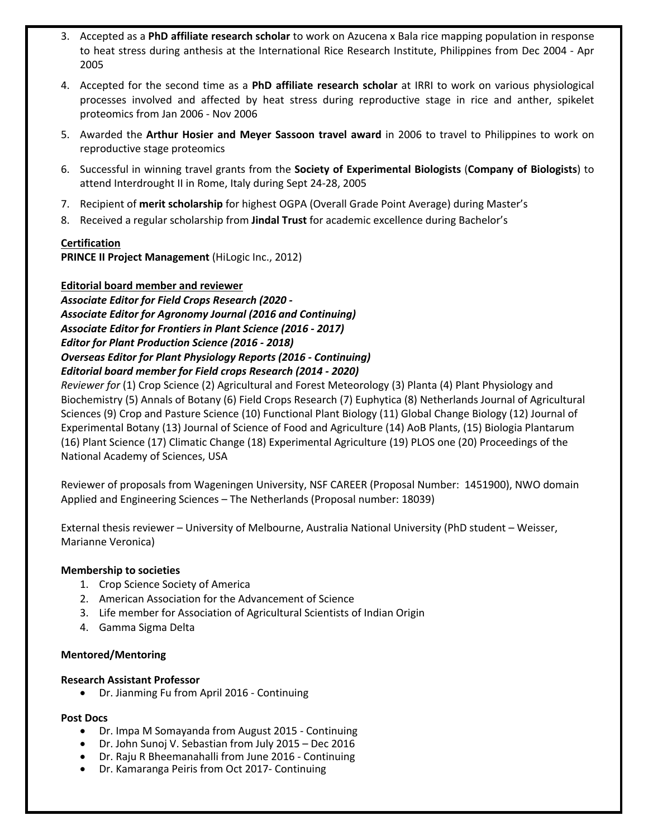- 3. Accepted as a **PhD affiliate research scholar** to work on Azucena x Bala rice mapping population in response to heat stress during anthesis at the International Rice Research Institute, Philippines from Dec 2004 - Apr 2005
- 4. Accepted for the second time as a **PhD affiliate research scholar** at IRRI to work on various physiological processes involved and affected by heat stress during reproductive stage in rice and anther, spikelet proteomics from Jan 2006 - Nov 2006
- 5. Awarded the **Arthur Hosier and Meyer Sassoon travel award** in 2006 to travel to Philippines to work on reproductive stage proteomics
- 6. Successful in winning travel grants from the **Society of Experimental Biologists** (**Company of Biologists**) to attend Interdrought II in Rome, Italy during Sept 24-28, 2005
- 7. Recipient of **merit scholarship** for highest OGPA (Overall Grade Point Average) during Master's
- 8. Received a regular scholarship from **Jindal Trust** for academic excellence during Bachelor's

### **Certification**

**PRINCE II Project Management** (HiLogic Inc., 2012)

### **Editorial board member and reviewer**

*Associate Editor for Field Crops Research (2020 - Associate Editor for Agronomy Journal (2016 and Continuing) Associate Editor for Frontiers in Plant Science (2016 - 2017) Editor for Plant Production Science (2016 - 2018) Overseas Editor for Plant Physiology Reports (2016 - Continuing) Editorial board member for Field crops Research (2014 - 2020)*

*Reviewer for* (1) Crop Science (2) Agricultural and Forest Meteorology (3) Planta (4) Plant Physiology and Biochemistry (5) Annals of Botany (6) Field Crops Research (7) Euphytica (8) Netherlands Journal of Agricultural Sciences (9) Crop and Pasture Science (10) Functional Plant Biology (11) Global Change Biology (12) Journal of Experimental Botany (13) Journal of Science of Food and Agriculture (14) AoB Plants, (15) Biologia Plantarum (16) Plant Science (17) Climatic Change (18) Experimental Agriculture (19) PLOS one (20) Proceedings of the National Academy of Sciences, USA

Reviewer of proposals from Wageningen University, NSF CAREER (Proposal Number: 1451900), NWO domain Applied and Engineering Sciences – The Netherlands (Proposal number: 18039)

External thesis reviewer – University of Melbourne, Australia National University (PhD student – Weisser, Marianne Veronica)

### **Membership to societies**

- 1. Crop Science Society of America
- 2. American Association for the Advancement of Science
- 3. Life member for Association of Agricultural Scientists of Indian Origin
- 4. Gamma Sigma Delta

### **Mentored/Mentoring**

### **Research Assistant Professor**

• Dr. Jianming Fu from April 2016 - Continuing

#### **Post Docs**

- Dr. Impa M Somayanda from August 2015 Continuing
- Dr. John Sunoj V. Sebastian from July 2015 Dec 2016
- Dr. Raju R Bheemanahalli from June 2016 Continuing
- Dr. Kamaranga Peiris from Oct 2017- Continuing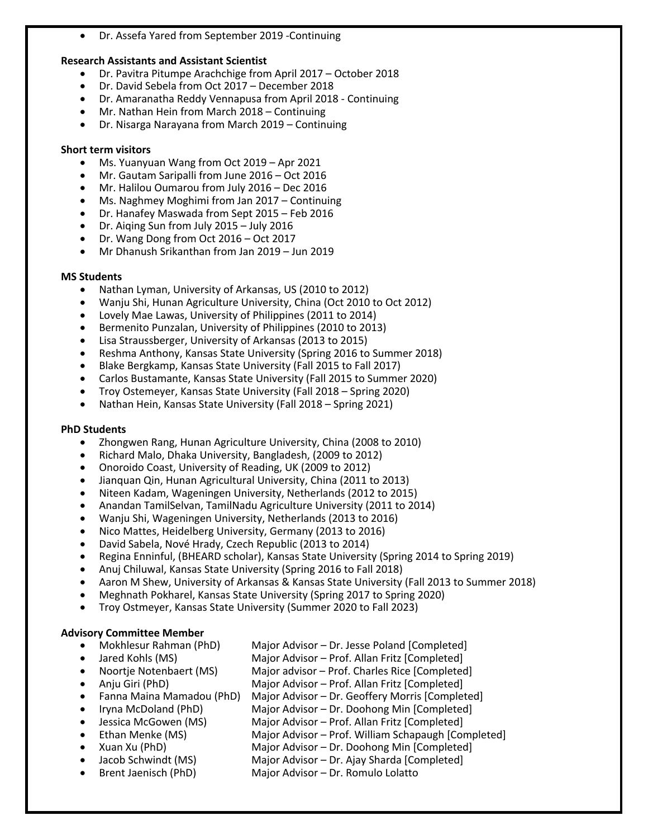• Dr. Assefa Yared from September 2019 -Continuing

## **Research Assistants and Assistant Scientist**

- Dr. Pavitra Pitumpe Arachchige from April 2017 October 2018
- Dr. David Sebela from Oct 2017 December 2018
- Dr. Amaranatha Reddy Vennapusa from April 2018 Continuing
- Mr. Nathan Hein from March 2018 Continuing
- Dr. Nisarga Narayana from March 2019 Continuing

# **Short term visitors**

- Ms. Yuanyuan Wang from Oct 2019 Apr 2021
- Mr. Gautam Saripalli from June 2016 Oct 2016
- Mr. Halilou Oumarou from July 2016 Dec 2016
- Ms. Naghmey Moghimi from Jan 2017 Continuing
- Dr. Hanafey Maswada from Sept 2015 Feb 2016
- Dr. Aiqing Sun from July 2015 July 2016
- Dr. Wang Dong from Oct 2016 Oct 2017
- Mr Dhanush Srikanthan from Jan 2019 Jun 2019

## **MS Students**

- Nathan Lyman, University of Arkansas, US (2010 to 2012)
- Wanju Shi, Hunan Agriculture University, China (Oct 2010 to Oct 2012)
- Lovely Mae Lawas, University of Philippines (2011 to 2014)
- Bermenito Punzalan, University of Philippines (2010 to 2013)
- Lisa Straussberger, University of Arkansas (2013 to 2015)
- Reshma Anthony, Kansas State University (Spring 2016 to Summer 2018)
- Blake Bergkamp, Kansas State University (Fall 2015 to Fall 2017)
- Carlos Bustamante, Kansas State University (Fall 2015 to Summer 2020)
- Troy Ostemeyer, Kansas State University (Fall 2018 Spring 2020)
- Nathan Hein, Kansas State University (Fall 2018 Spring 2021)

# **PhD Students**

- Zhongwen Rang, Hunan Agriculture University, China (2008 to 2010)
- Richard Malo, Dhaka University, Bangladesh, (2009 to 2012)
- Onoroido Coast, University of Reading, UK (2009 to 2012)
- Jianquan Qin, Hunan Agricultural University, China (2011 to 2013)
- Niteen Kadam, Wageningen University, Netherlands (2012 to 2015)
- Anandan TamilSelvan, TamilNadu Agriculture University (2011 to 2014)
- Wanju Shi, Wageningen University, Netherlands (2013 to 2016)
- Nico Mattes, Heidelberg University, Germany (2013 to 2016)
- David Sabela, Nové Hrady, Czech Republic (2013 to 2014)
- Regina Enninful, (BHEARD scholar), Kansas State University (Spring 2014 to Spring 2019)
- Anuj Chiluwal, Kansas State University (Spring 2016 to Fall 2018)
- Aaron M Shew, University of Arkansas & Kansas State University (Fall 2013 to Summer 2018)
- Meghnath Pokharel, Kansas State University (Spring 2017 to Spring 2020)
- Troy Ostmeyer, Kansas State University (Summer 2020 to Fall 2023)

# **Advisory Committee Member**

- Mokhlesur Rahman (PhD) Major Advisor Dr. Jesse Poland [Completed]
- Jared Kohls (MS) Major Advisor Prof. Allan Fritz [Completed]
- Noortje Notenbaert (MS) Major advisor Prof. Charles Rice [Completed] • Anju Giri (PhD) Major Advisor – Prof. Allan Fritz [Completed]
- - Fanna Maina Mamadou (PhD) Major Advisor Dr. Geoffery Morris [Completed]
- Iryna McDoland (PhD) Major Advisor Dr. Doohong Min [Completed]
- Jessica McGowen (MS) Major Advisor Prof. Allan Fritz [Completed]
- Ethan Menke (MS) Major Advisor Prof. William Schapaugh [Completed]
- Xuan Xu (PhD) Major Advisor Dr. Doohong Min [Completed]
- Jacob Schwindt (MS) Major Advisor Dr. Ajay Sharda [Completed]
	- Brent Jaenisch (PhD) Major Advisor Dr. Romulo Lolatto
-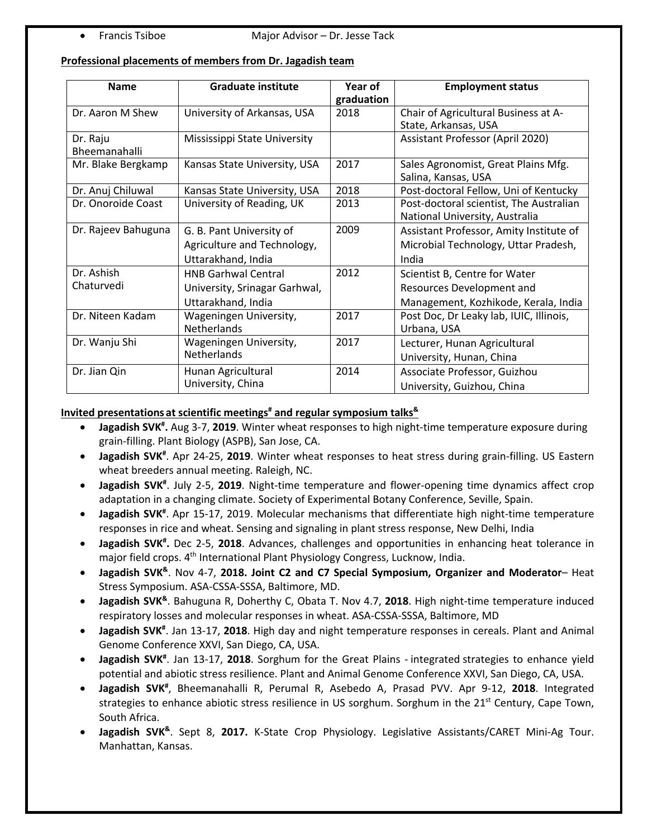# **Professional placements of members from Dr. Jagadish team**

| <b>Name</b>         | <b>Graduate institute</b>     | Year of<br>graduation | <b>Employment status</b>                |
|---------------------|-------------------------------|-----------------------|-----------------------------------------|
| Dr. Aaron M Shew    | University of Arkansas, USA   | 2018                  | Chair of Agricultural Business at A-    |
|                     |                               |                       | State, Arkansas, USA                    |
| Dr. Raju            | Mississippi State University  |                       | Assistant Professor (April 2020)        |
| Bheemanahalli       |                               |                       |                                         |
| Mr. Blake Bergkamp  | Kansas State University, USA  | 2017                  | Sales Agronomist, Great Plains Mfg.     |
|                     |                               |                       | Salina, Kansas, USA                     |
| Dr. Anuj Chiluwal   | Kansas State University, USA  | 2018                  | Post-doctoral Fellow, Uni of Kentucky   |
| Dr. Onoroide Coast  | University of Reading, UK     | 2013                  | Post-doctoral scientist, The Australian |
|                     |                               |                       | National University, Australia          |
| Dr. Rajeev Bahuguna | G. B. Pant University of      | 2009                  | Assistant Professor, Amity Institute of |
|                     | Agriculture and Technology,   |                       | Microbial Technology, Uttar Pradesh,    |
|                     | Uttarakhand, India            |                       | India                                   |
| Dr. Ashish          | <b>HNB Garhwal Central</b>    | 2012                  | Scientist B, Centre for Water           |
| Chaturvedi          | University, Srinagar Garhwal, |                       | Resources Development and               |
|                     | Uttarakhand, India            |                       | Management, Kozhikode, Kerala, India    |
| Dr. Niteen Kadam    | Wageningen University,        | 2017                  | Post Doc, Dr Leaky lab, IUIC, Illinois, |
|                     | <b>Netherlands</b>            |                       | Urbana, USA                             |
| Dr. Wanju Shi       | Wageningen University,        | 2017                  | Lecturer, Hunan Agricultural            |
|                     | Netherlands                   |                       | University, Hunan, China                |
| Dr. Jian Qin        | Hunan Agricultural            | 2014                  | Associate Professor, Guizhou            |
|                     | University, China             |                       | University, Guizhou, China              |

## **Invited presentations at scientific meetings# and regular symposium talks&**

- **Jagadish SVK# .** Aug 3-7, **2019**. Winter wheat responses to high night-time temperature exposure during grain-filling. Plant Biology (ASPB), San Jose, CA.
- **Jagadish SVK#** . Apr 24-25, **2019**. Winter wheat responses to heat stress during grain-filling. US Eastern wheat breeders annual meeting. Raleigh, NC.
- Jagadish SVK<sup>#</sup>. July 2-5, 2019. Night-time temperature and flower-opening time dynamics affect crop adaptation in a changing climate. Society of Experimental Botany Conference, Seville, Spain.
- **Jagadish SVK<sup>#</sup>.** Apr 15-17, 2019. Molecular mechanisms that differentiate high night-time temperature responses in rice and wheat. Sensing and signaling in plant stress response, New Delhi, India
- **Jagadish SVK# .** Dec 2-5, **2018**. Advances, challenges and opportunities in enhancing heat tolerance in major field crops. 4<sup>th</sup> International Plant Physiology Congress, Lucknow, India.
- **Jagadish SVK&**. Nov 4-7, **2018. Joint C2 and C7 Special Symposium, Organizer and Moderator** Heat Stress Symposium. ASA-CSSA-SSSA, Baltimore, MD.
- **Jagadish SVK&**. Bahuguna R, Doherthy C, Obata T. Nov 4.7, **2018**. High night-time temperature induced respiratory losses and molecular responses in wheat. ASA-CSSA-SSSA, Baltimore, MD
- Jagadish SVK<sup>#</sup>. Jan 13-17, 2018. High day and night temperature responses in cereals. Plant and Animal Genome Conference XXVI, San Diego, CA, USA.
- Jagadish SVK<sup>#</sup>. Jan 13-17, 2018. Sorghum for the Great Plains integrated strategies to enhance yield potential and abiotic stress resilience. Plant and Animal Genome Conference XXVI, San Diego, CA, USA.
- **Jagadish SVK#** , Bheemanahalli R, Perumal R, Asebedo A, Prasad PVV. Apr 9-12, **2018**. Integrated strategies to enhance abiotic stress resilience in US sorghum. Sorghum in the 21<sup>st</sup> Century, Cape Town, South Africa.
- **Jagadish SVK&**. Sept 8, **2017.** K-State Crop Physiology. Legislative Assistants/CARET Mini-Ag Tour. Manhattan, Kansas.